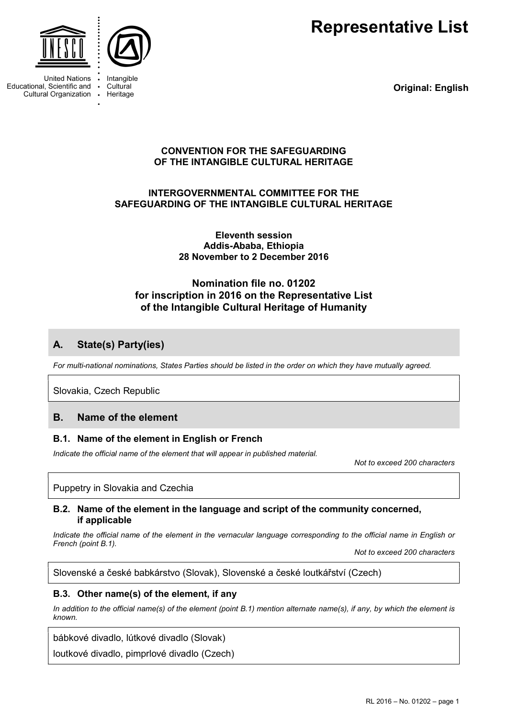Representative List



Intangible Cultural

Heritage

**United Nations** Educational, Scientific and Cultural Organization  $\ddot{\phantom{a}}$ 

Original: English

### CONVENTION FOR THE SAFEGUARDING OF THE INTANGIBLE CULTURAL HERITAGE

## INTERGOVERNMENTAL COMMITTEE FOR THE SAFEGUARDING OF THE INTANGIBLE CULTURAL HERITAGE

Eleventh session Addis-Ababa, Ethiopia 28 November to 2 December 2016

# Nomination file no. 01202 for inscription in 2016 on the Representative List of the Intangible Cultural Heritage of Humanity

# A. State(s) Party(ies)

For multi-national nominations, States Parties should be listed in the order on which they have mutually agreed.

Slovakia, Czech Republic

# B. Name of the element

### B.1. Name of the element in English or French

Indicate the official name of the element that will appear in published material.

Not to exceed 200 characters

### Puppetry in Slovakia and Czechia

### B.2. Name of the element in the language and script of the community concerned, if applicable

Indicate the official name of the element in the vernacular language corresponding to the official name in English or French (point B.1).

Not to exceed 200 characters

Slovenské a české babkárstvo (Slovak), Slovenské a české loutkářství (Czech)

### B.3. Other name(s) of the element, if any

In addition to the official name(s) of the element (point B.1) mention alternate name(s), if any, by which the element is known.

bábkové divadlo, lútkové divadlo (Slovak)

loutkové divadlo, pimprlové divadlo (Czech)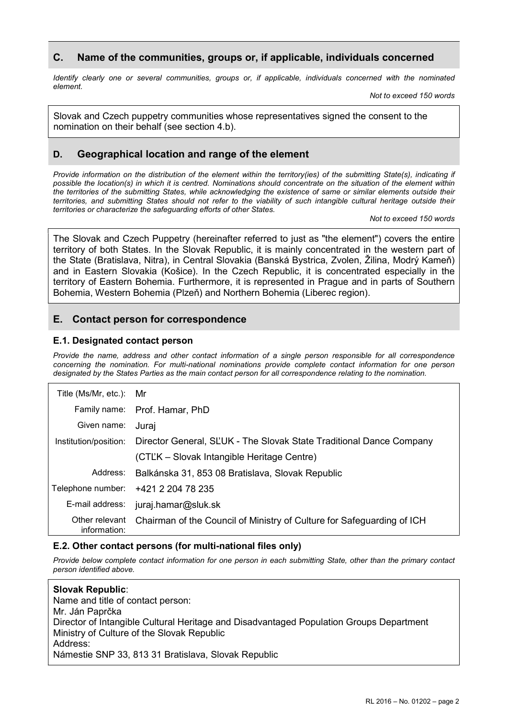### C. Name of the communities, groups or, if applicable, individuals concerned

Identify clearly one or several communities, groups or, if applicable, individuals concerned with the nominated element.

Not to exceed 150 words

Slovak and Czech puppetry communities whose representatives signed the consent to the nomination on their behalf (see section 4.b).

## D. Geographical location and range of the element

Provide information on the distribution of the element within the territory(ies) of the submitting State(s), indicating if possible the location(s) in which it is centred. Nominations should concentrate on the situation of the element within the territories of the submitting States, while acknowledging the existence of same or similar elements outside their territories, and submitting States should not refer to the viability of such intangible cultural heritage outside their territories or characterize the safeguarding efforts of other States.

Not to exceed 150 words

The Slovak and Czech Puppetry (hereinafter referred to just as "the element") covers the entire territory of both States. In the Slovak Republic, it is mainly concentrated in the western part of the State (Bratislava, Nitra), in Central Slovakia (Banská Bystrica, Zvolen, Žilina, Modrý Kameň) and in Eastern Slovakia (Košice). In the Czech Republic, it is concentrated especially in the territory of Eastern Bohemia. Furthermore, it is represented in Prague and in parts of Southern Bohemia, Western Bohemia (Plzeň) and Northern Bohemia (Liberec region).

## E. Contact person for correspondence

### E.1. Designated contact person

Provide the name, address and other contact information of a single person responsible for all correspondence concerning the nomination. For multi-national nominations provide complete contact information for one person designated by the States Parties as the main contact person for all correspondence relating to the nomination.

| Title (Ms/Mr, etc.): Mr        |                                                                        |
|--------------------------------|------------------------------------------------------------------------|
|                                | Family name: Prof. Hamar, PhD                                          |
| Given name:                    | Jurai                                                                  |
| Institution/position:          | Director General, SLUK - The Slovak State Traditional Dance Company    |
|                                | (CTĽK – Slovak Intangible Heritage Centre)                             |
| Address:                       | Balkánska 31, 853 08 Bratislava, Slovak Republic                       |
| Telephone number:              | +421 2 204 78 235                                                      |
| E-mail address:                | juraj.hamar@sluk.sk                                                    |
| Other relevant<br>information: | Chairman of the Council of Ministry of Culture for Safeguarding of ICH |

### E.2. Other contact persons (for multi-national files only)

Provide below complete contact information for one person in each submitting State, other than the primary contact person identified above.

| <b>Slovak Republic:</b>                                                                 |
|-----------------------------------------------------------------------------------------|
| Name and title of contact person:                                                       |
| Mr. Ján Paprčka                                                                         |
| Director of Intangible Cultural Heritage and Disadvantaged Population Groups Department |
| Ministry of Culture of the Slovak Republic                                              |
| Address:                                                                                |
| Námestie SNP 33, 813 31 Bratislava, Slovak Republic                                     |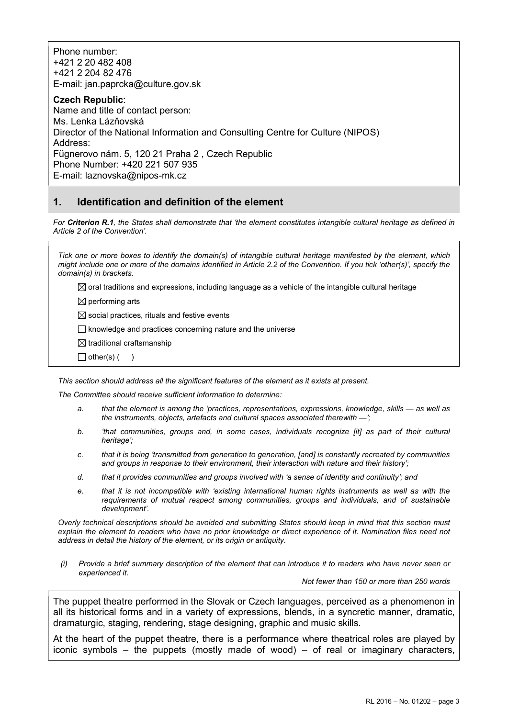Phone number: +421 2 20 482 408 +421 2 204 82 476 E-mail: jan.paprcka@culture.gov.sk

Czech Republic: Name and title of contact person: Ms. Lenka Lázňovská Director of the National Information and Consulting Centre for Culture (NIPOS) Address: Fügnerovo nám. 5, 120 21 Praha 2 , Czech Republic Phone Number: +420 221 507 935 E-mail: laznovska@nipos-mk.cz

# 1. Identification and definition of the element

For Criterion R.1, the States shall demonstrate that 'the element constitutes intangible cultural heritage as defined in Article 2 of the Convention'.

Tick one or more boxes to identify the domain(s) of intangible cultural heritage manifested by the element, which might include one or more of the domains identified in Article 2.2 of the Convention. If you tick 'other(s)', specify the domain(s) in brackets.

 $\boxtimes$  oral traditions and expressions, including language as a vehicle of the intangible cultural heritage

 $\boxtimes$  performing arts

 $\boxtimes$  social practices, rituals and festive events

 $\Box$  knowledge and practices concerning nature and the universe

 $\boxtimes$  traditional craftsmanship

 $\Box$  other(s) ( )

This section should address all the significant features of the element as it exists at present.

The Committee should receive sufficient information to determine:

- a. that the element is among the 'practices, representations, expressions, knowledge, skills as well as the instruments, objects, artefacts and cultural spaces associated therewith —';
- b. 'that communities, groups and, in some cases, individuals recognize [it] as part of their cultural heritage';
- c. that it is being 'transmitted from generation to generation, [and] is constantly recreated by communities and groups in response to their environment, their interaction with nature and their history';
- d. that it provides communities and groups involved with 'a sense of identity and continuity'; and
- e. that it is not incompatible with 'existing international human rights instruments as well as with the requirements of mutual respect among communities, groups and individuals, and of sustainable development'.

Overly technical descriptions should be avoided and submitting States should keep in mind that this section must explain the element to readers who have no prior knowledge or direct experience of it. Nomination files need not address in detail the history of the element, or its origin or antiquity.

(i) Provide a brief summary description of the element that can introduce it to readers who have never seen or experienced it.

Not fewer than 150 or more than 250 words

The puppet theatre performed in the Slovak or Czech languages, perceived as a phenomenon in all its historical forms and in a variety of expressions, blends, in a syncretic manner, dramatic, dramaturgic, staging, rendering, stage designing, graphic and music skills.

At the heart of the puppet theatre, there is a performance where theatrical roles are played by iconic symbols – the puppets (mostly made of wood) – of real or imaginary characters,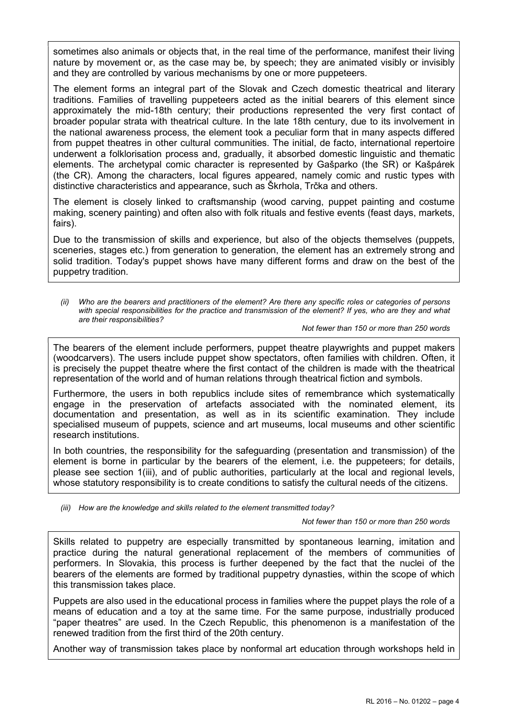sometimes also animals or objects that, in the real time of the performance, manifest their living nature by movement or, as the case may be, by speech; they are animated visibly or invisibly and they are controlled by various mechanisms by one or more puppeteers.

The element forms an integral part of the Slovak and Czech domestic theatrical and literary traditions. Families of travelling puppeteers acted as the initial bearers of this element since approximately the mid-18th century; their productions represented the very first contact of broader popular strata with theatrical culture. In the late 18th century, due to its involvement in the national awareness process, the element took a peculiar form that in many aspects differed from puppet theatres in other cultural communities. The initial, de facto, international repertoire underwent a folklorisation process and, gradually, it absorbed domestic linguistic and thematic elements. The archetypal comic character is represented by Gašparko (the SR) or Kašpárek (the CR). Among the characters, local figures appeared, namely comic and rustic types with distinctive characteristics and appearance, such as Škrhola, Trčka and others.

The element is closely linked to craftsmanship (wood carving, puppet painting and costume making, scenery painting) and often also with folk rituals and festive events (feast days, markets, fairs).

Due to the transmission of skills and experience, but also of the objects themselves (puppets, sceneries, stages etc.) from generation to generation, the element has an extremely strong and solid tradition. Today's puppet shows have many different forms and draw on the best of the puppetry tradition.

Who are the bearers and practitioners of the element? Are there any specific roles or categories of persons with special responsibilities for the practice and transmission of the element? If yes, who are they and what are their responsibilities?

#### Not fewer than 150 or more than 250 words

The bearers of the element include performers, puppet theatre playwrights and puppet makers (woodcarvers). The users include puppet show spectators, often families with children. Often, it is precisely the puppet theatre where the first contact of the children is made with the theatrical representation of the world and of human relations through theatrical fiction and symbols.

Furthermore, the users in both republics include sites of remembrance which systematically engage in the preservation of artefacts associated with the nominated element, its documentation and presentation, as well as in its scientific examination. They include specialised museum of puppets, science and art museums, local museums and other scientific research institutions.

In both countries, the responsibility for the safeguarding (presentation and transmission) of the element is borne in particular by the bearers of the element, i.e. the puppeteers; for details, please see section 1(iii), and of public authorities, particularly at the local and regional levels, whose statutory responsibility is to create conditions to satisfy the cultural needs of the citizens.

(iii) How are the knowledge and skills related to the element transmitted today?

Not fewer than 150 or more than 250 words

Skills related to puppetry are especially transmitted by spontaneous learning, imitation and practice during the natural generational replacement of the members of communities of performers. In Slovakia, this process is further deepened by the fact that the nuclei of the bearers of the elements are formed by traditional puppetry dynasties, within the scope of which this transmission takes place.

Puppets are also used in the educational process in families where the puppet plays the role of a means of education and a toy at the same time. For the same purpose, industrially produced "paper theatres" are used. In the Czech Republic, this phenomenon is a manifestation of the renewed tradition from the first third of the 20th century.

Another way of transmission takes place by nonformal art education through workshops held in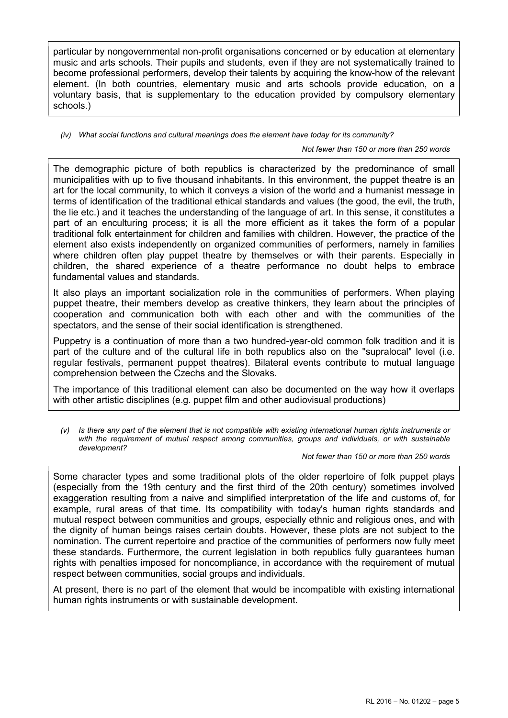particular by nongovernmental non-profit organisations concerned or by education at elementary music and arts schools. Their pupils and students, even if they are not systematically trained to become professional performers, develop their talents by acquiring the know-how of the relevant element. (In both countries, elementary music and arts schools provide education, on a voluntary basis, that is supplementary to the education provided by compulsory elementary schools.)

(iv) What social functions and cultural meanings does the element have today for its community?

Not fewer than 150 or more than 250 words

The demographic picture of both republics is characterized by the predominance of small municipalities with up to five thousand inhabitants. In this environment, the puppet theatre is an art for the local community, to which it conveys a vision of the world and a humanist message in terms of identification of the traditional ethical standards and values (the good, the evil, the truth, the lie etc.) and it teaches the understanding of the language of art. In this sense, it constitutes a part of an enculturing process; it is all the more efficient as it takes the form of a popular traditional folk entertainment for children and families with children. However, the practice of the element also exists independently on organized communities of performers, namely in families where children often play puppet theatre by themselves or with their parents. Especially in children, the shared experience of a theatre performance no doubt helps to embrace fundamental values and standards.

It also plays an important socialization role in the communities of performers. When playing puppet theatre, their members develop as creative thinkers, they learn about the principles of cooperation and communication both with each other and with the communities of the spectators, and the sense of their social identification is strengthened.

Puppetry is a continuation of more than a two hundred-year-old common folk tradition and it is part of the culture and of the cultural life in both republics also on the "supralocal" level (i.e. regular festivals, permanent puppet theatres). Bilateral events contribute to mutual language comprehension between the Czechs and the Slovaks.

The importance of this traditional element can also be documented on the way how it overlaps with other artistic disciplines (e.g. puppet film and other audiovisual productions)

(v) Is there any part of the element that is not compatible with existing international human rights instruments or with the requirement of mutual respect among communities, groups and individuals, or with sustainable development?

Not fewer than 150 or more than 250 words

Some character types and some traditional plots of the older repertoire of folk puppet plays (especially from the 19th century and the first third of the 20th century) sometimes involved exaggeration resulting from a naive and simplified interpretation of the life and customs of, for example, rural areas of that time. Its compatibility with today's human rights standards and mutual respect between communities and groups, especially ethnic and religious ones, and with the dignity of human beings raises certain doubts. However, these plots are not subject to the nomination. The current repertoire and practice of the communities of performers now fully meet these standards. Furthermore, the current legislation in both republics fully guarantees human rights with penalties imposed for noncompliance, in accordance with the requirement of mutual respect between communities, social groups and individuals.

At present, there is no part of the element that would be incompatible with existing international human rights instruments or with sustainable development.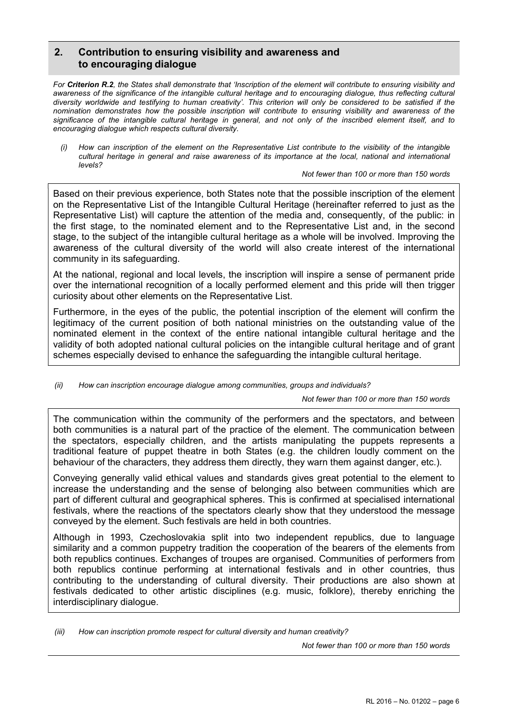# 2. Contribution to ensuring visibility and awareness and to encouraging dialogue

For Criterion R.2, the States shall demonstrate that 'Inscription of the element will contribute to ensuring visibility and awareness of the significance of the intangible cultural heritage and to encouraging dialogue, thus reflecting cultural diversity worldwide and testifying to human creativity'. This criterion will only be considered to be satisfied if the nomination demonstrates how the possible inscription will contribute to ensuring visibility and awareness of the significance of the intangible cultural heritage in general, and not only of the inscribed element itself, and to encouraging dialogue which respects cultural diversity.

(i) How can inscription of the element on the Representative List contribute to the visibility of the intangible cultural heritage in general and raise awareness of its importance at the local, national and international levels?

Not fewer than 100 or more than 150 words

Based on their previous experience, both States note that the possible inscription of the element on the Representative List of the Intangible Cultural Heritage (hereinafter referred to just as the Representative List) will capture the attention of the media and, consequently, of the public: in the first stage, to the nominated element and to the Representative List and, in the second stage, to the subject of the intangible cultural heritage as a whole will be involved. Improving the awareness of the cultural diversity of the world will also create interest of the international community in its safeguarding.

At the national, regional and local levels, the inscription will inspire a sense of permanent pride over the international recognition of a locally performed element and this pride will then trigger curiosity about other elements on the Representative List.

Furthermore, in the eyes of the public, the potential inscription of the element will confirm the legitimacy of the current position of both national ministries on the outstanding value of the nominated element in the context of the entire national intangible cultural heritage and the validity of both adopted national cultural policies on the intangible cultural heritage and of grant schemes especially devised to enhance the safeguarding the intangible cultural heritage.

(ii) How can inscription encourage dialogue among communities, groups and individuals?

Not fewer than 100 or more than 150 words

The communication within the community of the performers and the spectators, and between both communities is a natural part of the practice of the element. The communication between the spectators, especially children, and the artists manipulating the puppets represents a traditional feature of puppet theatre in both States (e.g. the children loudly comment on the behaviour of the characters, they address them directly, they warn them against danger, etc.).

Conveying generally valid ethical values and standards gives great potential to the element to increase the understanding and the sense of belonging also between communities which are part of different cultural and geographical spheres. This is confirmed at specialised international festivals, where the reactions of the spectators clearly show that they understood the message conveyed by the element. Such festivals are held in both countries.

Although in 1993, Czechoslovakia split into two independent republics, due to language similarity and a common puppetry tradition the cooperation of the bearers of the elements from both republics continues. Exchanges of troupes are organised. Communities of performers from both republics continue performing at international festivals and in other countries, thus contributing to the understanding of cultural diversity. Their productions are also shown at festivals dedicated to other artistic disciplines (e.g. music, folklore), thereby enriching the interdisciplinary dialogue.

(iii) How can inscription promote respect for cultural diversity and human creativity?

Not fewer than 100 or more than 150 words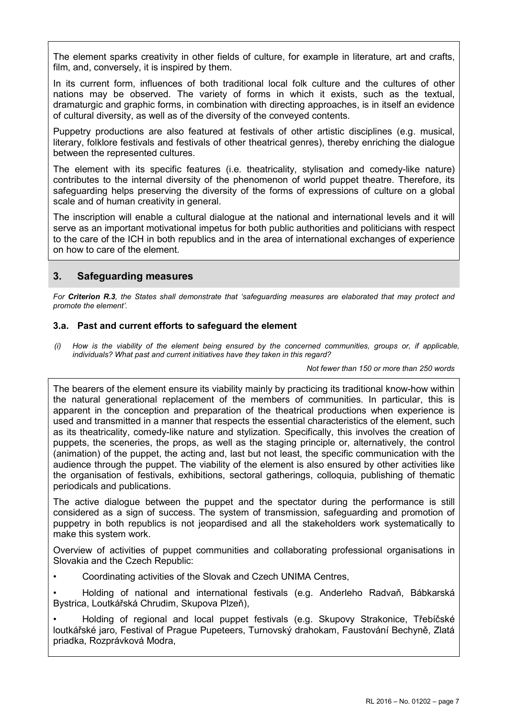The element sparks creativity in other fields of culture, for example in literature, art and crafts, film, and, conversely, it is inspired by them.

In its current form, influences of both traditional local folk culture and the cultures of other nations may be observed. The variety of forms in which it exists, such as the textual, dramaturgic and graphic forms, in combination with directing approaches, is in itself an evidence of cultural diversity, as well as of the diversity of the conveyed contents.

Puppetry productions are also featured at festivals of other artistic disciplines (e.g. musical, literary, folklore festivals and festivals of other theatrical genres), thereby enriching the dialogue between the represented cultures.

The element with its specific features (i.e. theatricality, stylisation and comedy-like nature) contributes to the internal diversity of the phenomenon of world puppet theatre. Therefore, its safeguarding helps preserving the diversity of the forms of expressions of culture on a global scale and of human creativity in general.

The inscription will enable a cultural dialogue at the national and international levels and it will serve as an important motivational impetus for both public authorities and politicians with respect to the care of the ICH in both republics and in the area of international exchanges of experience on how to care of the element.

# 3. Safeguarding measures

For Criterion R.3, the States shall demonstrate that 'safeguarding measures are elaborated that may protect and promote the element'.

### 3.a. Past and current efforts to safeguard the element

(i) How is the viability of the element being ensured by the concerned communities, groups or, if applicable, individuals? What past and current initiatives have they taken in this regard?

Not fewer than 150 or more than 250 words

The bearers of the element ensure its viability mainly by practicing its traditional know-how within the natural generational replacement of the members of communities. In particular, this is apparent in the conception and preparation of the theatrical productions when experience is used and transmitted in a manner that respects the essential characteristics of the element, such as its theatricality, comedy-like nature and stylization. Specifically, this involves the creation of puppets, the sceneries, the props, as well as the staging principle or, alternatively, the control (animation) of the puppet, the acting and, last but not least, the specific communication with the audience through the puppet. The viability of the element is also ensured by other activities like the organisation of festivals, exhibitions, sectoral gatherings, colloquia, publishing of thematic periodicals and publications.

The active dialogue between the puppet and the spectator during the performance is still considered as a sign of success. The system of transmission, safeguarding and promotion of puppetry in both republics is not jeopardised and all the stakeholders work systematically to make this system work.

Overview of activities of puppet communities and collaborating professional organisations in Slovakia and the Czech Republic:

• Coordinating activities of the Slovak and Czech UNIMA Centres,

• Holding of national and international festivals (e.g. Anderleho Radvaň, Bábkarská Bystrica, Loutkářská Chrudim, Skupova Plzeň),

• Holding of regional and local puppet festivals (e.g. Skupovy Strakonice, Třebíčské loutkářské jaro, Festival of Prague Pupeteers, Turnovský drahokam, Faustování Bechyně, Zlatá priadka, Rozprávková Modra,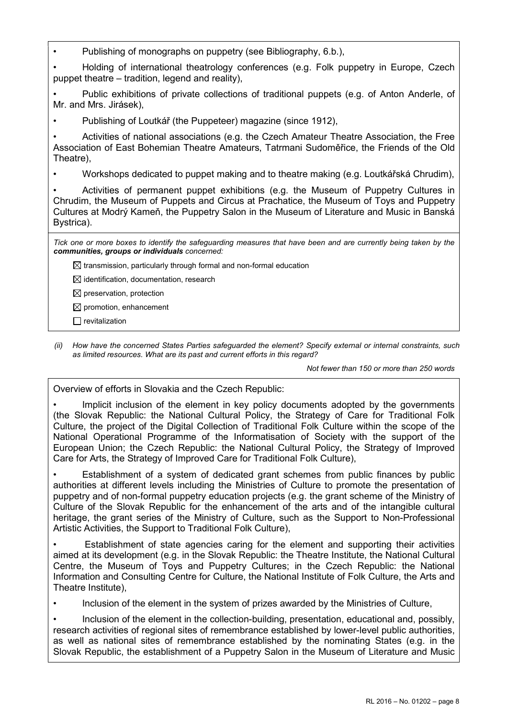• Publishing of monographs on puppetry (see Bibliography, 6.b.),

• Holding of international theatrology conferences (e.g. Folk puppetry in Europe, Czech puppet theatre – tradition, legend and reality),

• Public exhibitions of private collections of traditional puppets (e.g. of Anton Anderle, of Mr. and Mrs. Jirásek),

• Publishing of Loutkář (the Puppeteer) magazine (since 1912),

• Activities of national associations (e.g. the Czech Amateur Theatre Association, the Free Association of East Bohemian Theatre Amateurs, Tatrmani Sudoměřice, the Friends of the Old Theatre),

• Workshops dedicated to puppet making and to theatre making (e.g. Loutkářská Chrudim),

• Activities of permanent puppet exhibitions (e.g. the Museum of Puppetry Cultures in Chrudim, the Museum of Puppets and Circus at Prachatice, the Museum of Toys and Puppetry Cultures at Modrý Kameň, the Puppetry Salon in the Museum of Literature and Music in Banská Bystrica).

Tick one or more boxes to identify the safeguarding measures that have been and are currently being taken by the communities, groups or individuals concerned:

 $\boxtimes$  transmission, particularly through formal and non-formal education

 $\boxtimes$  identification, documentation, research

 $\boxtimes$  preservation, protection

 $\boxtimes$  promotion, enhancement

 $\Box$  revitalization

(ii) How have the concerned States Parties safeguarded the element? Specify external or internal constraints, such as limited resources. What are its past and current efforts in this regard?

Not fewer than 150 or more than 250 words

Overview of efforts in Slovakia and the Czech Republic:

Implicit inclusion of the element in key policy documents adopted by the governments (the Slovak Republic: the National Cultural Policy, the Strategy of Care for Traditional Folk Culture, the project of the Digital Collection of Traditional Folk Culture within the scope of the National Operational Programme of the Informatisation of Society with the support of the European Union; the Czech Republic: the National Cultural Policy, the Strategy of Improved Care for Arts, the Strategy of Improved Care for Traditional Folk Culture),

Establishment of a system of dedicated grant schemes from public finances by public authorities at different levels including the Ministries of Culture to promote the presentation of puppetry and of non-formal puppetry education projects (e.g. the grant scheme of the Ministry of Culture of the Slovak Republic for the enhancement of the arts and of the intangible cultural heritage, the grant series of the Ministry of Culture, such as the Support to Non-Professional Artistic Activities, the Support to Traditional Folk Culture),

• Establishment of state agencies caring for the element and supporting their activities aimed at its development (e.g. in the Slovak Republic: the Theatre Institute, the National Cultural Centre, the Museum of Toys and Puppetry Cultures; in the Czech Republic: the National Information and Consulting Centre for Culture, the National Institute of Folk Culture, the Arts and Theatre Institute),

• Inclusion of the element in the system of prizes awarded by the Ministries of Culture,

• Inclusion of the element in the collection-building, presentation, educational and, possibly, research activities of regional sites of remembrance established by lower-level public authorities, as well as national sites of remembrance established by the nominating States (e.g. in the Slovak Republic, the establishment of a Puppetry Salon in the Museum of Literature and Music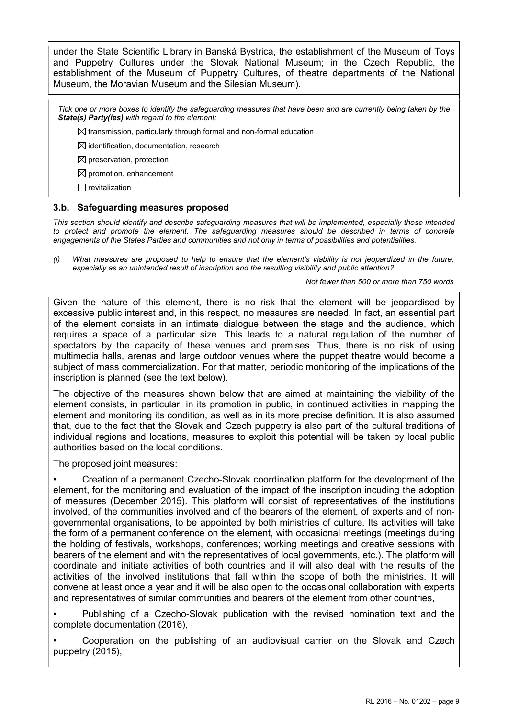under the State Scientific Library in Banská Bystrica, the establishment of the Museum of Toys and Puppetry Cultures under the Slovak National Museum; in the Czech Republic, the establishment of the Museum of Puppetry Cultures, of theatre departments of the National Museum, the Moravian Museum and the Silesian Museum).

Tick one or more boxes to identify the safeguarding measures that have been and are currently being taken by the State(s) Party(ies) with regard to the element:

 $\boxtimes$  transmission, particularly through formal and non-formal education

 $\boxtimes$  identification, documentation, research

 $\boxtimes$  preservation, protection

 $\boxtimes$  promotion, enhancement

 $\Box$  revitalization

### 3.b. Safeguarding measures proposed

This section should identify and describe safeguarding measures that will be implemented, especially those intended to protect and promote the element. The safeguarding measures should be described in terms of concrete engagements of the States Parties and communities and not only in terms of possibilities and potentialities.

(i) What measures are proposed to help to ensure that the element's viability is not jeopardized in the future, especially as an unintended result of inscription and the resulting visibility and public attention?

#### Not fewer than 500 or more than 750 words

Given the nature of this element, there is no risk that the element will be jeopardised by excessive public interest and, in this respect, no measures are needed. In fact, an essential part of the element consists in an intimate dialogue between the stage and the audience, which requires a space of a particular size. This leads to a natural regulation of the number of spectators by the capacity of these venues and premises. Thus, there is no risk of using multimedia halls, arenas and large outdoor venues where the puppet theatre would become a subject of mass commercialization. For that matter, periodic monitoring of the implications of the inscription is planned (see the text below).

The objective of the measures shown below that are aimed at maintaining the viability of the element consists, in particular, in its promotion in public, in continued activities in mapping the element and monitoring its condition, as well as in its more precise definition. It is also assumed that, due to the fact that the Slovak and Czech puppetry is also part of the cultural traditions of individual regions and locations, measures to exploit this potential will be taken by local public authorities based on the local conditions.

The proposed joint measures:

• Creation of a permanent Czecho-Slovak coordination platform for the development of the element, for the monitoring and evaluation of the impact of the inscription incuding the adoption of measures (December 2015). This platform will consist of representatives of the institutions involved, of the communities involved and of the bearers of the element, of experts and of nongovernmental organisations, to be appointed by both ministries of culture. Its activities will take the form of a permanent conference on the element, with occasional meetings (meetings during the holding of festivals, workshops, conferences; working meetings and creative sessions with bearers of the element and with the representatives of local governments, etc.). The platform will coordinate and initiate activities of both countries and it will also deal with the results of the activities of the involved institutions that fall within the scope of both the ministries. It will convene at least once a year and it will be also open to the occasional collaboration with experts and representatives of similar communities and bearers of the element from other countries,

• Publishing of a Czecho-Slovak publication with the revised nomination text and the complete documentation (2016),

• Cooperation on the publishing of an audiovisual carrier on the Slovak and Czech puppetry (2015),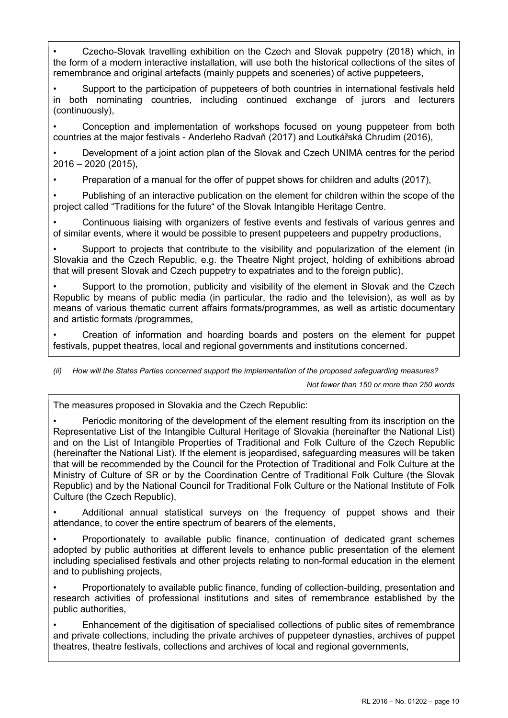• Czecho-Slovak travelling exhibition on the Czech and Slovak puppetry (2018) which, in the form of a modern interactive installation, will use both the historical collections of the sites of remembrance and original artefacts (mainly puppets and sceneries) of active puppeteers,

• Support to the participation of puppeteers of both countries in international festivals held in both nominating countries, including continued exchange of jurors and lecturers (continuously),

• Conception and implementation of workshops focused on young puppeteer from both countries at the major festivals - Anderleho Radvaň (2017) and Loutkářská Chrudim (2016),

• Development of a joint action plan of the Slovak and Czech UNIMA centres for the period 2016 – 2020 (2015),

• Preparation of a manual for the offer of puppet shows for children and adults (2017),

• Publishing of an interactive publication on the element for children within the scope of the project called "Traditions for the future" of the Slovak Intangible Heritage Centre.

• Continuous liaising with organizers of festive events and festivals of various genres and of similar events, where it would be possible to present puppeteers and puppetry productions,

• Support to projects that contribute to the visibility and popularization of the element (in Slovakia and the Czech Republic, e.g. the Theatre Night project, holding of exhibitions abroad that will present Slovak and Czech puppetry to expatriates and to the foreign public),

• Support to the promotion, publicity and visibility of the element in Slovak and the Czech Republic by means of public media (in particular, the radio and the television), as well as by means of various thematic current affairs formats/programmes, as well as artistic documentary and artistic formats /programmes,

• Creation of information and hoarding boards and posters on the element for puppet festivals, puppet theatres, local and regional governments and institutions concerned.

(ii) How will the States Parties concerned support the implementation of the proposed safeguarding measures?

Not fewer than 150 or more than 250 words

The measures proposed in Slovakia and the Czech Republic:

• Periodic monitoring of the development of the element resulting from its inscription on the Representative List of the Intangible Cultural Heritage of Slovakia (hereinafter the National List) and on the List of Intangible Properties of Traditional and Folk Culture of the Czech Republic (hereinafter the National List). If the element is jeopardised, safeguarding measures will be taken that will be recommended by the Council for the Protection of Traditional and Folk Culture at the Ministry of Culture of SR or by the Coordination Centre of Traditional Folk Culture (the Slovak Republic) and by the National Council for Traditional Folk Culture or the National Institute of Folk Culture (the Czech Republic),

• Additional annual statistical surveys on the frequency of puppet shows and their attendance, to cover the entire spectrum of bearers of the elements,

• Proportionately to available public finance, continuation of dedicated grant schemes adopted by public authorities at different levels to enhance public presentation of the element including specialised festivals and other projects relating to non-formal education in the element and to publishing projects,

• Proportionately to available public finance, funding of collection-building, presentation and research activities of professional institutions and sites of remembrance established by the public authorities,

• Enhancement of the digitisation of specialised collections of public sites of remembrance and private collections, including the private archives of puppeteer dynasties, archives of puppet theatres, theatre festivals, collections and archives of local and regional governments,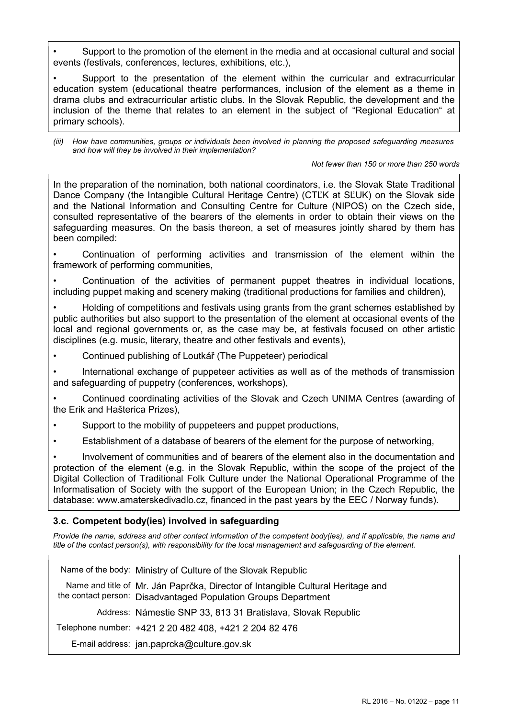• Support to the promotion of the element in the media and at occasional cultural and social events (festivals, conferences, lectures, exhibitions, etc.),

• Support to the presentation of the element within the curricular and extracurricular education system (educational theatre performances, inclusion of the element as a theme in drama clubs and extracurricular artistic clubs. In the Slovak Republic, the development and the inclusion of the theme that relates to an element in the subject of "Regional Education" at primary schools).

(iii) How have communities, groups or individuals been involved in planning the proposed safeguarding measures and how will they be involved in their implementation?

Not fewer than 150 or more than 250 words

In the preparation of the nomination, both national coordinators, i.e. the Slovak State Traditional Dance Company (the Intangible Cultural Heritage Centre) (CTĽK at SĽUK) on the Slovak side and the National Information and Consulting Centre for Culture (NIPOS) on the Czech side, consulted representative of the bearers of the elements in order to obtain their views on the safeguarding measures. On the basis thereon, a set of measures jointly shared by them has been compiled:

• Continuation of performing activities and transmission of the element within the framework of performing communities,

• Continuation of the activities of permanent puppet theatres in individual locations, including puppet making and scenery making (traditional productions for families and children),

• Holding of competitions and festivals using grants from the grant schemes established by public authorities but also support to the presentation of the element at occasional events of the local and regional governments or, as the case may be, at festivals focused on other artistic disciplines (e.g. music, literary, theatre and other festivals and events),

• Continued publishing of Loutkář (The Puppeteer) periodical

• International exchange of puppeteer activities as well as of the methods of transmission and safeguarding of puppetry (conferences, workshops),

• Continued coordinating activities of the Slovak and Czech UNIMA Centres (awarding of the Erik and Hašterica Prizes),

Support to the mobility of puppeteers and puppet productions,

• Establishment of a database of bearers of the element for the purpose of networking,

• Involvement of communities and of bearers of the element also in the documentation and protection of the element (e.g. in the Slovak Republic, within the scope of the project of the Digital Collection of Traditional Folk Culture under the National Operational Programme of the Informatisation of Society with the support of the European Union; in the Czech Republic, the database: www.amaterskedivadlo.cz, financed in the past years by the EEC / Norway funds).

### 3.c. Competent body(ies) involved in safeguarding

Provide the name, address and other contact information of the competent body(ies), and if applicable, the name and title of the contact person(s), with responsibility for the local management and safeguarding of the element.

| Name of the body: Ministry of Culture of the Slovak Republic                                                                                      |
|---------------------------------------------------------------------------------------------------------------------------------------------------|
| Name and title of Mr. Ján Paprčka, Director of Intangible Cultural Heritage and<br>the contact person: Disadvantaged Population Groups Department |
| Address: Námestie SNP 33, 813 31 Bratislava, Slovak Republic                                                                                      |
| Telephone number: +421 2 20 482 408, +421 2 204 82 476                                                                                            |
| E-mail address: jan.paprcka@culture.gov.sk                                                                                                        |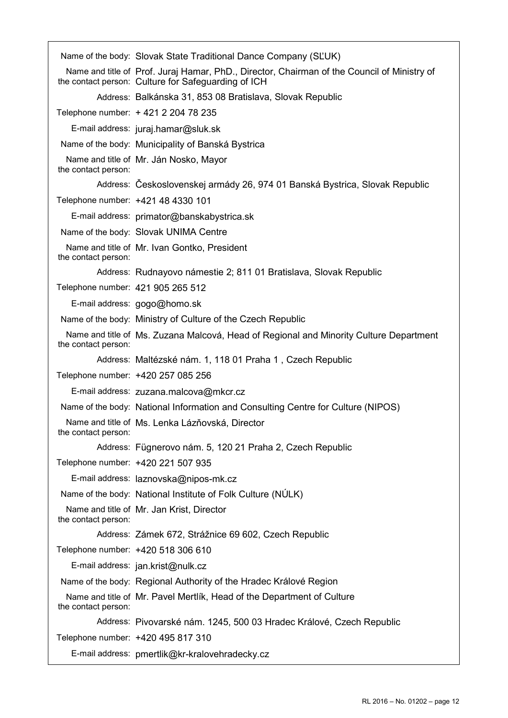|                                   | Name of the body: Slovak State Traditional Dance Company (SLUK)                                                                                    |
|-----------------------------------|----------------------------------------------------------------------------------------------------------------------------------------------------|
|                                   | Name and title of Prof. Juraj Hamar, PhD., Director, Chairman of the Council of Ministry of<br>the contact person: Culture for Safeguarding of ICH |
|                                   | Address: Balkánska 31, 853 08 Bratislava, Slovak Republic                                                                                          |
|                                   | Telephone number: + 421 2 204 78 235                                                                                                               |
|                                   | E-mail address: juraj.hamar@sluk.sk                                                                                                                |
|                                   | Name of the body: Municipality of Banská Bystrica                                                                                                  |
| the contact person:               | Name and title of Mr. Ján Nosko, Mayor                                                                                                             |
|                                   | Address: Československej armády 26, 974 01 Banská Bystrica, Slovak Republic                                                                        |
|                                   | Telephone number: +421 48 4330 101                                                                                                                 |
|                                   | E-mail address: primator@banskabystrica.sk                                                                                                         |
|                                   | Name of the body: Slovak UNIMA Centre                                                                                                              |
| the contact person:               | Name and title of Mr. Ivan Gontko, President                                                                                                       |
|                                   | Address: Rudnayovo námestie 2; 811 01 Bratislava, Slovak Republic                                                                                  |
| Telephone number: 421 905 265 512 |                                                                                                                                                    |
|                                   | E-mail address: gogo@homo.sk                                                                                                                       |
|                                   | Name of the body: Ministry of Culture of the Czech Republic                                                                                        |
| the contact person:               | Name and title of Ms. Zuzana Malcová, Head of Regional and Minority Culture Department                                                             |
|                                   | Address: Maltézské nám. 1, 118 01 Praha 1, Czech Republic                                                                                          |
|                                   | Telephone number: +420 257 085 256                                                                                                                 |
|                                   | E-mail address: zuzana.malcova@mkcr.cz                                                                                                             |
|                                   | Name of the body: National Information and Consulting Centre for Culture (NIPOS)                                                                   |
| the contact person:               | Name and title of Ms. Lenka Lázňovská, Director                                                                                                    |
|                                   | Address: Fügnerovo nám. 5, 120 21 Praha 2, Czech Republic                                                                                          |
|                                   | Telephone number: +420 221 507 935                                                                                                                 |
|                                   | E-mail address: laznovska@nipos-mk.cz                                                                                                              |
|                                   | Name of the body: National Institute of Folk Culture (NULK)                                                                                        |
| the contact person:               | Name and title of Mr. Jan Krist, Director                                                                                                          |
|                                   | Address: Zámek 672, Strážnice 69 602, Czech Republic                                                                                               |
|                                   | Telephone number: +420 518 306 610                                                                                                                 |
|                                   | E-mail address: jan.krist@nulk.cz                                                                                                                  |
|                                   | Name of the body: Regional Authority of the Hradec Králové Region                                                                                  |
| the contact person:               | Name and title of Mr. Pavel Mertlik, Head of the Department of Culture                                                                             |
|                                   | Address: Pivovarské nám. 1245, 500 03 Hradec Králové, Czech Republic                                                                               |
|                                   | Telephone number: +420 495 817 310                                                                                                                 |
|                                   | E-mail address: pmertlik@kr-kralovehradecky.cz                                                                                                     |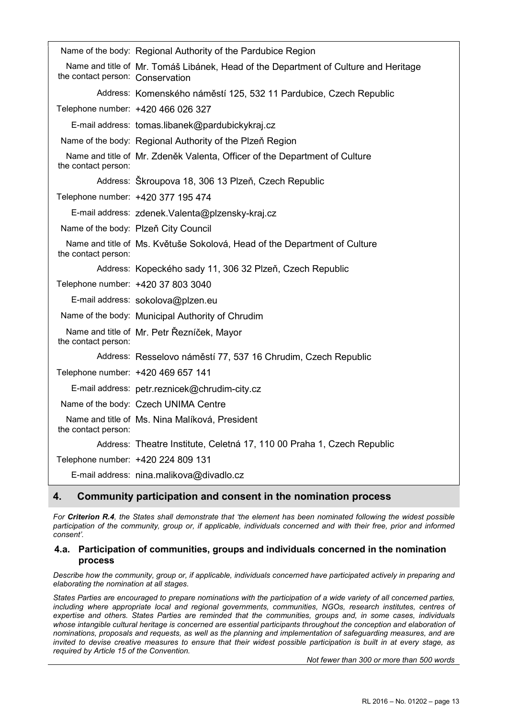|                                  | Name of the body: Regional Authority of the Pardubice Region                        |
|----------------------------------|-------------------------------------------------------------------------------------|
| the contact person: Conservation | Name and title of Mr. Tomáš Libánek, Head of the Department of Culture and Heritage |
|                                  | Address: Komenského náměstí 125, 532 11 Pardubice, Czech Republic                   |
|                                  | Telephone number: +420 466 026 327                                                  |
|                                  | E-mail address: tomas.libanek@pardubickykraj.cz                                     |
|                                  | Name of the body: Regional Authority of the Plzeň Region                            |
| the contact person:              | Name and title of Mr. Zdeněk Valenta, Officer of the Department of Culture          |
|                                  | Address: Škroupova 18, 306 13 Plzeň, Czech Republic                                 |
|                                  | Telephone number: +420 377 195 474                                                  |
|                                  | E-mail address: zdenek.Valenta@plzensky-kraj.cz                                     |
|                                  | Name of the body: Plzeň City Council                                                |
| the contact person:              | Name and title of Ms. Květuše Sokolová, Head of the Department of Culture           |
|                                  | Address: Kopeckého sady 11, 306 32 Plzeň, Czech Republic                            |
|                                  | Telephone number: +420 37 803 3040                                                  |
|                                  | E-mail address: sokolova@plzen.eu                                                   |
|                                  | Name of the body: Municipal Authority of Chrudim                                    |
| the contact person:              | Name and title of Mr. Petr Řezníček, Mayor                                          |
|                                  | Address: Resselovo náměstí 77, 537 16 Chrudim, Czech Republic                       |
|                                  | Telephone number: +420 469 657 141                                                  |
|                                  | E-mail address: petr.reznicek@chrudim-city.cz                                       |
|                                  | Name of the body: Czech UNIMA Centre                                                |
| the contact person:              | Name and title of Ms. Nina Malíková, President                                      |
|                                  | Address: Theatre Institute, Celetná 17, 110 00 Praha 1, Czech Republic              |
|                                  | Telephone number: +420 224 809 131                                                  |
|                                  | E-mail address: nina.malikova@divadlo.cz                                            |

# 4. Community participation and consent in the nomination process

For Criterion R.4, the States shall demonstrate that 'the element has been nominated following the widest possible participation of the community, group or, if applicable, individuals concerned and with their free, prior and informed consent'.

### 4.a. Participation of communities, groups and individuals concerned in the nomination process

Describe how the community, group or, if applicable, individuals concerned have participated actively in preparing and elaborating the nomination at all stages.

States Parties are encouraged to prepare nominations with the participation of a wide variety of all concerned parties, including where appropriate local and regional governments, communities, NGOs, research institutes, centres of expertise and others. States Parties are reminded that the communities, groups and, in some cases, individuals whose intangible cultural heritage is concerned are essential participants throughout the conception and elaboration of nominations, proposals and requests, as well as the planning and implementation of safeguarding measures, and are invited to devise creative measures to ensure that their widest possible participation is built in at every stage, as required by Article 15 of the Convention.

Not fewer than 300 or more than 500 words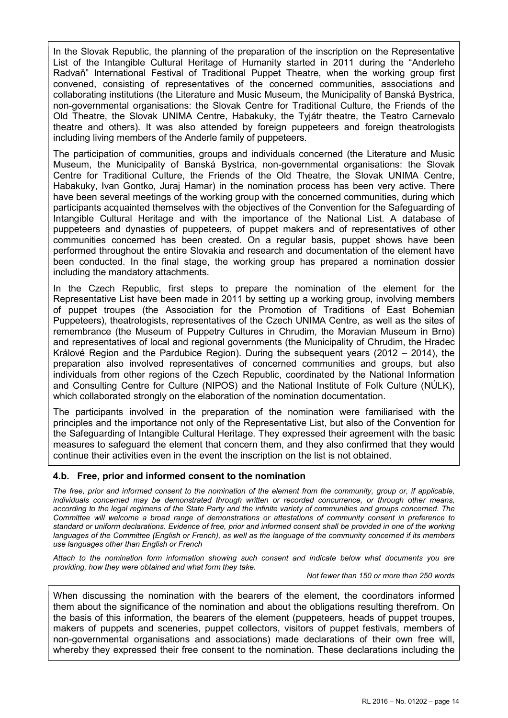In the Slovak Republic, the planning of the preparation of the inscription on the Representative List of the Intangible Cultural Heritage of Humanity started in 2011 during the "Anderleho Radvaň" International Festival of Traditional Puppet Theatre, when the working group first convened, consisting of representatives of the concerned communities, associations and collaborating institutions (the Literature and Music Museum, the Municipality of Banská Bystrica, non-governmental organisations: the Slovak Centre for Traditional Culture, the Friends of the Old Theatre, the Slovak UNIMA Centre, Habakuky, the Tyjátr theatre, the Teatro Carnevalo theatre and others). It was also attended by foreign puppeteers and foreign theatrologists including living members of the Anderle family of puppeteers.

The participation of communities, groups and individuals concerned (the Literature and Music Museum, the Municipality of Banská Bystrica, non-governmental organisations: the Slovak Centre for Traditional Culture, the Friends of the Old Theatre, the Slovak UNIMA Centre, Habakuky, Ivan Gontko, Juraj Hamar) in the nomination process has been very active. There have been several meetings of the working group with the concerned communities, during which participants acquainted themselves with the objectives of the Convention for the Safeguarding of Intangible Cultural Heritage and with the importance of the National List. A database of puppeteers and dynasties of puppeteers, of puppet makers and of representatives of other communities concerned has been created. On a regular basis, puppet shows have been performed throughout the entire Slovakia and research and documentation of the element have been conducted. In the final stage, the working group has prepared a nomination dossier including the mandatory attachments.

In the Czech Republic, first steps to prepare the nomination of the element for the Representative List have been made in 2011 by setting up a working group, involving members of puppet troupes (the Association for the Promotion of Traditions of East Bohemian Puppeteers), theatrologists, representatives of the Czech UNIMA Centre, as well as the sites of remembrance (the Museum of Puppetry Cultures in Chrudim, the Moravian Museum in Brno) and representatives of local and regional governments (the Municipality of Chrudim, the Hradec Králové Region and the Pardubice Region). During the subsequent years (2012 – 2014), the preparation also involved representatives of concerned communities and groups, but also individuals from other regions of the Czech Republic, coordinated by the National Information and Consulting Centre for Culture (NIPOS) and the National Institute of Folk Culture (NÚLK), which collaborated strongly on the elaboration of the nomination documentation.

The participants involved in the preparation of the nomination were familiarised with the principles and the importance not only of the Representative List, but also of the Convention for the Safeguarding of Intangible Cultural Heritage. They expressed their agreement with the basic measures to safeguard the element that concern them, and they also confirmed that they would continue their activities even in the event the inscription on the list is not obtained.

### 4.b. Free, prior and informed consent to the nomination

The free, prior and informed consent to the nomination of the element from the community, group or, if applicable, individuals concerned may be demonstrated through written or recorded concurrence, or through other means, according to the legal regimens of the State Party and the infinite variety of communities and groups concerned. The Committee will welcome a broad range of demonstrations or attestations of community consent in preference to standard or uniform declarations. Evidence of free, prior and informed consent shall be provided in one of the working languages of the Committee (English or French), as well as the language of the community concerned if its members use languages other than English or French

Attach to the nomination form information showing such consent and indicate below what documents you are providing, how they were obtained and what form they take.

Not fewer than 150 or more than 250 words

When discussing the nomination with the bearers of the element, the coordinators informed them about the significance of the nomination and about the obligations resulting therefrom. On the basis of this information, the bearers of the element (puppeteers, heads of puppet troupes, makers of puppets and sceneries, puppet collectors, visitors of puppet festivals, members of non-governmental organisations and associations) made declarations of their own free will, whereby they expressed their free consent to the nomination. These declarations including the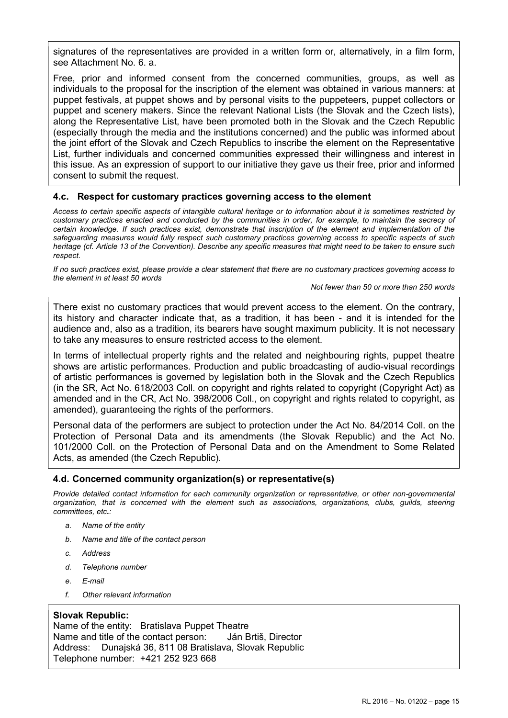signatures of the representatives are provided in a written form or, alternatively, in a film form, see Attachment No. 6. a.

Free, prior and informed consent from the concerned communities, groups, as well as individuals to the proposal for the inscription of the element was obtained in various manners: at puppet festivals, at puppet shows and by personal visits to the puppeteers, puppet collectors or puppet and scenery makers. Since the relevant National Lists (the Slovak and the Czech lists), along the Representative List, have been promoted both in the Slovak and the Czech Republic (especially through the media and the institutions concerned) and the public was informed about the joint effort of the Slovak and Czech Republics to inscribe the element on the Representative List, further individuals and concerned communities expressed their willingness and interest in this issue. As an expression of support to our initiative they gave us their free, prior and informed consent to submit the request.

### 4.c. Respect for customary practices governing access to the element

Access to certain specific aspects of intangible cultural heritage or to information about it is sometimes restricted by customary practices enacted and conducted by the communities in order, for example, to maintain the secrecy of certain knowledge. If such practices exist, demonstrate that inscription of the element and implementation of the safeguarding measures would fully respect such customary practices governing access to specific aspects of such heritage (cf. Article 13 of the Convention). Describe any specific measures that might need to be taken to ensure such respect.

If no such practices exist, please provide a clear statement that there are no customary practices governing access to the element in at least 50 words

Not fewer than 50 or more than 250 words

There exist no customary practices that would prevent access to the element. On the contrary, its history and character indicate that, as a tradition, it has been - and it is intended for the audience and, also as a tradition, its bearers have sought maximum publicity. It is not necessary to take any measures to ensure restricted access to the element.

In terms of intellectual property rights and the related and neighbouring rights, puppet theatre shows are artistic performances. Production and public broadcasting of audio-visual recordings of artistic performances is governed by legislation both in the Slovak and the Czech Republics (in the SR, Act No. 618/2003 Coll. on copyright and rights related to copyright (Copyright Act) as amended and in the CR, Act No. 398/2006 Coll., on copyright and rights related to copyright, as amended), guaranteeing the rights of the performers.

Personal data of the performers are subject to protection under the Act No. 84/2014 Coll. on the Protection of Personal Data and its amendments (the Slovak Republic) and the Act No. 101/2000 Coll. on the Protection of Personal Data and on the Amendment to Some Related Acts, as amended (the Czech Republic).

### 4.d. Concerned community organization(s) or representative(s)

Provide detailed contact information for each community organization or representative, or other non-governmental organization, that is concerned with the element such as associations, organizations, clubs, guilds, steering committees, etc.:

- a. Name of the entity
- b. Name and title of the contact person
- c. Address
- d. Telephone number
- e. E-mail
- f. Other relevant information

### Slovak Republic:

Name of the entity: Bratislava Puppet Theatre Name and title of the contact person: Ján Brtiš, Director Address: Dunajská 36, 811 08 Bratislava, Slovak Republic Telephone number: +421 252 923 668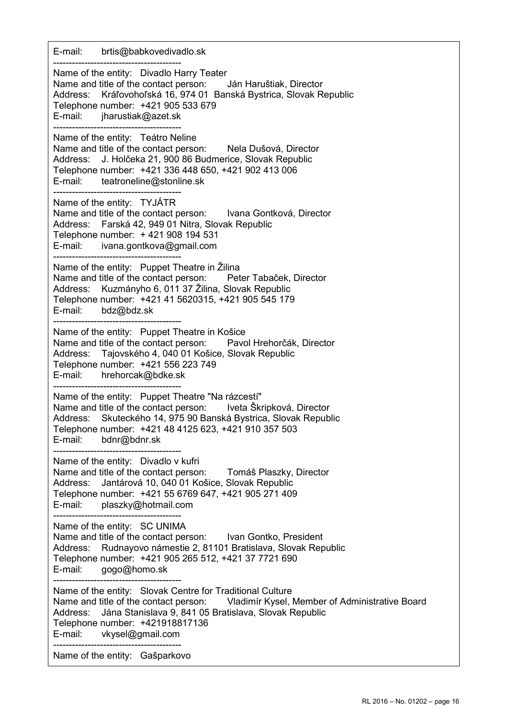E-mail: brtis@babkovedivadlo.sk ----------------------------------------- Name of the entity: Divadlo Harry Teater Name and title of the contact person: Ján Haruštiak, Director Address: Kráľovohoľská 16, 974 01 Banská Bystrica, Slovak Republic Telephone number: +421 905 533 679 E-mail: jharustiak@azet.sk ----------------------------------------- Name of the entity: Teátro Neline Name and title of the contact person: Nela Dušová, Director Address: J. Holčeka 21, 900 86 Budmerice, Slovak Republic Telephone number: +421 336 448 650, +421 902 413 006 E-mail: teatroneline@stonline.sk ----------------------------------------- Name of the entity: TYJÁTR Name and title of the contact person: Ivana Gontková, Director Address: Farská 42, 949 01 Nitra, Slovak Republic Telephone number: + 421 908 194 531 E-mail: ivana.gontkova@gmail.com ----------------------------------------- Name of the entity: Puppet Theatre in Žilina Name and title of the contact person: Peter Tabaček, Director Address: Kuzmányho 6, 011 37 Žilina, Slovak Republic Telephone number: +421 41 5620315, +421 905 545 179 E-mail: bdz@bdz.sk ----------------------------------------- Name of the entity: Puppet Theatre in Košice Name and title of the contact person: Pavol Hrehorčák, Director Address: Tajovského 4, 040 01 Košice, Slovak Republic Telephone number: +421 556 223 749 E-mail: hrehorcak@bdke.sk ----------------------------------------- Name of the entity: Puppet Theatre "Na rázcestí" Name and title of the contact person: Iveta Škripková, Director Address: Skuteckého 14, 975 90 Banská Bystrica, Slovak Republic Telephone number: +421 48 4125 623, +421 910 357 503 E-mail: bdnr@bdnr.sk ----------------------------------------- Name of the entity: Divadlo v kufri Name and title of the contact person: Tomáš Plaszky, Director Address: Jantárová 10, 040 01 Košice, Slovak Republic Telephone number: +421 55 6769 647, +421 905 271 409 E-mail: plaszky@hotmail.com ----------------------------------------- Name of the entity: SC UNIMA Name and title of the contact person: Ivan Gontko, President Address: Rudnayovo námestie 2, 81101 Bratislava, Slovak Republic Telephone number: +421 905 265 512, +421 37 7721 690 E-mail: gogo@homo.sk ----------------------------------------- Name of the entity: Slovak Centre for Traditional Culture Name and title of the contact person: Vladimír Kysel, Member of Administrative Board Address: Jána Stanislava 9, 841 05 Bratislava, Slovak Republic Telephone number: +421918817136 E-mail: vkysel@gmail.com ----------------------------------------- Name of the entity: Gašparkovo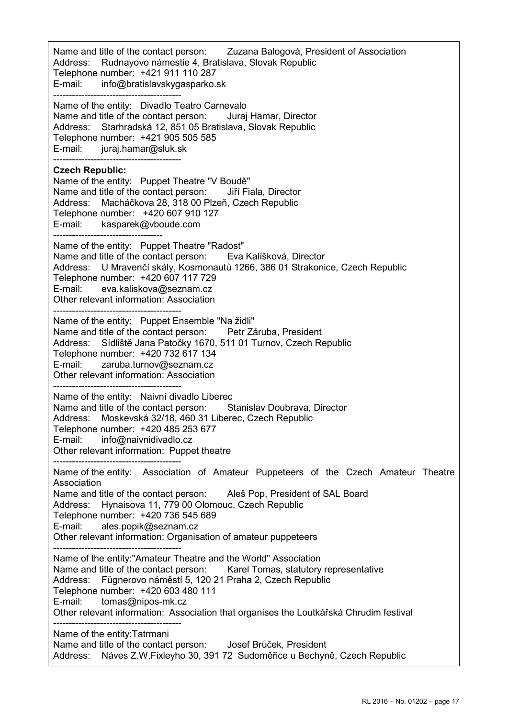Name and title of the contact person: Zuzana Balogová, President of Association Address: Rudnayovo námestie 4, Bratislava, Slovak Republic Telephone number: +421 911 110 287 E-mail: info@bratislavskygasparko.sk ----------------------------------------- Name of the entity: Divadlo Teatro Carnevalo Name and title of the contact person: Juraj Hamar, Director Address: Starhradská 12, 851 05 Bratislava, Slovak Republic Telephone number: +421 905 505 585 E-mail: juraj.hamar@sluk.sk ----------------------------------------- Czech Republic: Name of the entity: Puppet Theatre "V Boudě" Name and title of the contact person: Jiří Fiala, Director Address: Macháčkova 28, 318 00 Plzeň, Czech Republic Telephone number: +420 607 910 127 E-mail: kasparek@vboude.com ----------------------------------- Name of the entity: Puppet Theatre "Radost" Name and title of the contact person: Eva Kalíšková, Director Address: U Mravenčí skály, Kosmonautů 1266, 386 01 Strakonice, Czech Republic Telephone number: +420 607 117 729 E-mail: eva.kaliskova@seznam.cz Other relevant information: Association ----------------------------------------- Name of the entity: Puppet Ensemble "Na židli" Name and title of the contact person: Petr Záruba, President Address: Sídliště Jana Patočky 1670, 511 01 Turnov, Czech Republic Telephone number: +420 732 617 134 E-mail: zaruba.turnov@seznam.cz Other relevant information: Association ----------------------------------------- Name of the entity: Naivní divadlo Liberec Name and title of the contact person: Stanislav Doubrava, Director Address: Moskevská 32/18, 460 31 Liberec, Czech Republic Telephone number: +420 485 253 677 E-mail: info@naivnidivadlo.cz Other relevant information: Puppet theatre ----------------------------------------- Name of the entity: Association of Amateur Puppeteers of the Czech Amateur Theatre Association Name and title of the contact person: Aleš Pop, President of SAL Board Address: Hynaisova 11, 779 00 Olomouc, Czech Republic Telephone number: +420 736 545 689 E-mail: ales.popik@seznam.cz Other relevant information: Organisation of amateur puppeteers ----------------------------------------- Name of the entity:"Amateur Theatre and the World" Association Name and title of the contact person: Karel Tomas, statutory representative Address: Fügnerovo náměstí 5, 120 21 Praha 2, Czech Republic Telephone number: +420 603 480 111 E-mail: tomas@nipos-mk.cz Other relevant information: Association that organises the Loutkářská Chrudim festival ----------------------------------------- Name of the entity:Tatrmani Name and title of the contact person: Josef Brůček, President Address: Náves Z.W.Fixleyho 30, 391 72 Sudoměřice u Bechyně, Czech Republic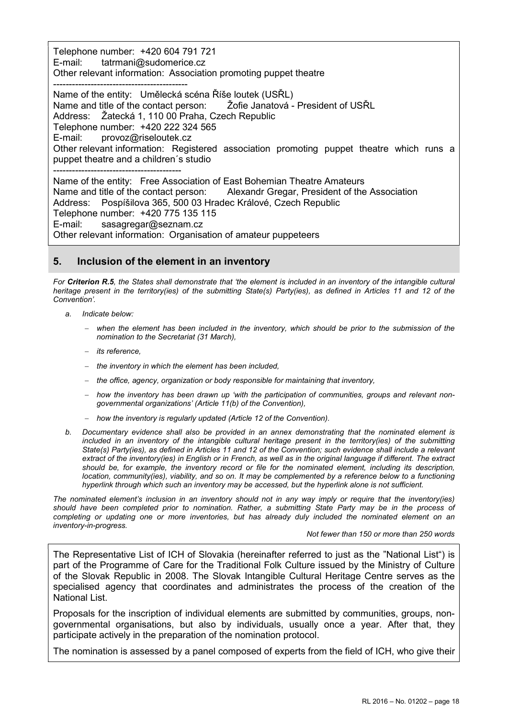Telephone number: +420 604 791 721 E-mail: tatrmani@sudomerice.cz Other relevant information: Association promoting puppet theatre ------------------------------------------- Name of the entity: Umělecká scéna Říše loutek (USŘL) Name and title of the contact person: Žofie Janatová - President of USŘL Address: Žatecká 1, 110 00 Praha, Czech Republic Telephone number: +420 222 324 565 E-mail: provoz@riseloutek.cz Other relevant information: Registered association promoting puppet theatre which runs a puppet theatre and a children´s studio ----------------------------------------- Name of the entity: Free Association of East Bohemian Theatre Amateurs Name and title of the contact person: Alexandr Gregar, President of the Association Address: Pospíšilova 365, 500 03 Hradec Králové, Czech Republic Telephone number: +420 775 135 115 E-mail: sasagregar@seznam.cz

Other relevant information: Organisation of amateur puppeteers

# 5. Inclusion of the element in an inventory

For Criterion R.5, the States shall demonstrate that 'the element is included in an inventory of the intangible cultural heritage present in the territory(ies) of the submitting State(s) Party(ies), as defined in Articles 11 and 12 of the Convention'.

- a. Indicate below:
	- when the element has been included in the inventory, which should be prior to the submission of the nomination to the Secretariat (31 March),
	- its reference.
	- $-$  the inventory in which the element has been included,
	- $-$  the office, agency, organization or body responsible for maintaining that inventory,
	- $-$  how the inventory has been drawn up 'with the participation of communities, groups and relevant nongovernmental organizations' (Article 11(b) of the Convention),
	- $h$  how the inventory is regularly updated (Article 12 of the Convention).
- b. Documentary evidence shall also be provided in an annex demonstrating that the nominated element is included in an inventory of the intangible cultural heritage present in the territory(ies) of the submitting State(s) Party(ies), as defined in Articles 11 and 12 of the Convention; such evidence shall include a relevant extract of the inventory(ies) in English or in French, as well as in the original language if different. The extract should be, for example, the inventory record or file for the nominated element, including its description, location, community(ies), viability, and so on. It may be complemented by a reference below to a functioning hyperlink through which such an inventory may be accessed, but the hyperlink alone is not sufficient.

The nominated element's inclusion in an inventory should not in any way imply or require that the inventory(ies) should have been completed prior to nomination. Rather, a submitting State Party may be in the process of completing or updating one or more inventories, but has already duly included the nominated element on an inventory-in-progress.

#### Not fewer than 150 or more than 250 words

The Representative List of ICH of Slovakia (hereinafter referred to just as the "National List") is part of the Programme of Care for the Traditional Folk Culture issued by the Ministry of Culture of the Slovak Republic in 2008. The Slovak Intangible Cultural Heritage Centre serves as the specialised agency that coordinates and administrates the process of the creation of the National List.

Proposals for the inscription of individual elements are submitted by communities, groups, nongovernmental organisations, but also by individuals, usually once a year. After that, they participate actively in the preparation of the nomination protocol.

The nomination is assessed by a panel composed of experts from the field of ICH, who give their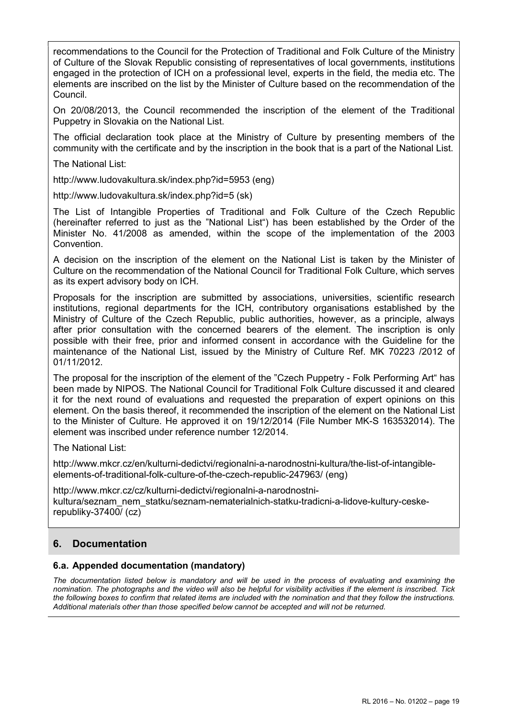recommendations to the Council for the Protection of Traditional and Folk Culture of the Ministry of Culture of the Slovak Republic consisting of representatives of local governments, institutions engaged in the protection of ICH on a professional level, experts in the field, the media etc. The elements are inscribed on the list by the Minister of Culture based on the recommendation of the Council.

On 20/08/2013, the Council recommended the inscription of the element of the Traditional Puppetry in Slovakia on the National List.

The official declaration took place at the Ministry of Culture by presenting members of the community with the certificate and by the inscription in the book that is a part of the National List.

The National List:

http://www.ludovakultura.sk/index.php?id=5953 (eng)

http://www.ludovakultura.sk/index.php?id=5 (sk)

The List of Intangible Properties of Traditional and Folk Culture of the Czech Republic (hereinafter referred to just as the "National List") has been established by the Order of the Minister No. 41/2008 as amended, within the scope of the implementation of the 2003 Convention.

A decision on the inscription of the element on the National List is taken by the Minister of Culture on the recommendation of the National Council for Traditional Folk Culture, which serves as its expert advisory body on ICH.

Proposals for the inscription are submitted by associations, universities, scientific research institutions, regional departments for the ICH, contributory organisations established by the Ministry of Culture of the Czech Republic, public authorities, however, as a principle, always after prior consultation with the concerned bearers of the element. The inscription is only possible with their free, prior and informed consent in accordance with the Guideline for the maintenance of the National List, issued by the Ministry of Culture Ref. MK 70223 /2012 of 01/11/2012.

The proposal for the inscription of the element of the "Czech Puppetry - Folk Performing Art" has been made by NIPOS. The National Council for Traditional Folk Culture discussed it and cleared it for the next round of evaluations and requested the preparation of expert opinions on this element. On the basis thereof, it recommended the inscription of the element on the National List to the Minister of Culture. He approved it on 19/12/2014 (File Number MK-S 163532014). The element was inscribed under reference number 12/2014.

The National List:

http://www.mkcr.cz/en/kulturni-dedictvi/regionalni-a-narodnostni-kultura/the-list-of-intangibleelements-of-traditional-folk-culture-of-the-czech-republic-247963/ (eng)

http://www.mkcr.cz/cz/kulturni-dedictvi/regionalni-a-narodnostnikultura/seznam\_nem\_statku/seznam-nematerialnich-statku-tradicni-a-lidove-kultury-ceskerepubliky-37400/ (cz)

# 6. Documentation

### 6.a. Appended documentation (mandatory)

The documentation listed below is mandatory and will be used in the process of evaluating and examining the nomination. The photographs and the video will also be helpful for visibility activities if the element is inscribed. Tick the following boxes to confirm that related items are included with the nomination and that they follow the instructions. Additional materials other than those specified below cannot be accepted and will not be returned.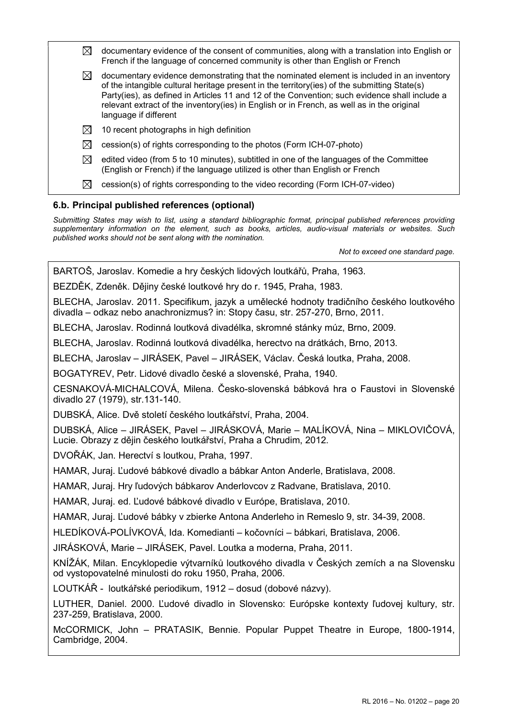| ⊠                                              | documentary evidence of the consent of communities, along with a translation into English or<br>French if the language of concerned community is other than English or French                                                                                                                                                                                                                                     |  |
|------------------------------------------------|-------------------------------------------------------------------------------------------------------------------------------------------------------------------------------------------------------------------------------------------------------------------------------------------------------------------------------------------------------------------------------------------------------------------|--|
| $\boxtimes$                                    | documentary evidence demonstrating that the nominated element is included in an inventory<br>of the intangible cultural heritage present in the territory(ies) of the submitting State(s)<br>Party(ies), as defined in Articles 11 and 12 of the Convention; such evidence shall include a<br>relevant extract of the inventory(ies) in English or in French, as well as in the original<br>language if different |  |
| $\boxtimes$                                    | 10 recent photographs in high definition                                                                                                                                                                                                                                                                                                                                                                          |  |
| $\boxtimes$                                    | cession(s) of rights corresponding to the photos (Form ICH-07-photo)                                                                                                                                                                                                                                                                                                                                              |  |
| $\bowtie$                                      | edited video (from 5 to 10 minutes), subtitled in one of the languages of the Committee<br>(English or French) if the language utilized is other than English or French                                                                                                                                                                                                                                           |  |
| $\bowtie$                                      | cession(s) of rights corresponding to the video recording (Form ICH-07-video)                                                                                                                                                                                                                                                                                                                                     |  |
| 6.b. Principal published references (optional) |                                                                                                                                                                                                                                                                                                                                                                                                                   |  |

Submitting States may wish to list, using a standard bibliographic format, principal published references providing supplementary information on the element, such as books, articles, audio-visual materials or websites. Such published works should not be sent along with the nomination.

Not to exceed one standard page.

BARTOŠ, Jaroslav. Komedie a hry českých lidových loutkářů, Praha, 1963.

BEZDĚK, Zdeněk. Dějiny české loutkové hry do r. 1945, Praha, 1983.

BLECHA, Jaroslav. 2011. Specifikum, jazyk a umělecké hodnoty tradičního českého loutkového divadla – odkaz nebo anachronizmus? in: Stopy času, str. 257-270, Brno, 2011.

BLECHA, Jaroslav. Rodinná loutková divadélka, skromné stánky múz, Brno, 2009.

BLECHA, Jaroslav. Rodinná loutková divadélka, herectvo na drátkách, Brno, 2013.

BLECHA, Jaroslav – JIRÁSEK, Pavel – JIRÁSEK, Václav. Česká loutka, Praha, 2008.

BOGATYREV, Petr. Lidové divadlo české a slovenské, Praha, 1940.

CESNAKOVÁ-MICHALCOVÁ, Milena. Česko-slovenská bábková hra o Faustovi in Slovenské divadlo 27 (1979), str.131-140.

DUBSKÁ, Alice. Dvě století českého loutkářství, Praha, 2004.

DUBSKÁ, Alice – JIRÁSEK, Pavel – JIRÁSKOVÁ, Marie – MALÍKOVÁ, Nina – MIKLOVIČOVÁ, Lucie. Obrazy z dějin českého loutkářství, Praha a Chrudim, 2012.

DVOŘÁK, Jan. Herectví s loutkou, Praha, 1997.

HAMAR, Juraj. Ľudové bábkové divadlo a bábkar Anton Anderle, Bratislava, 2008.

HAMAR, Juraj. Hry ľudových bábkarov Anderlovcov z Radvane, Bratislava, 2010.

HAMAR, Juraj. ed. Ľudové bábkové divadlo v Európe, Bratislava, 2010.

HAMAR, Juraj. Ľudové bábky v zbierke Antona Anderleho in Remeslo 9, str. 34-39, 2008.

HLEDÍKOVÁ-POLÍVKOVÁ, Ida. Komedianti – kočovníci – bábkari, Bratislava, 2006.

JIRÁSKOVÁ, Marie – JIRÁSEK, Pavel. Loutka a moderna, Praha, 2011.

KNÍŽÁK, Milan. Encyklopedie výtvarníků loutkového divadla v Českých zemích a na Slovensku od vystopovatelné minulosti do roku 1950, Praha, 2006.

LOUTKÁŘ - loutkářské periodikum, 1912 – dosud (dobové názvy).

LUTHER, Daniel. 2000. Ľudové divadlo in Slovensko: Európske kontexty ľudovej kultury, str. 237-259, Bratislava, 2000.

McCORMICK, John – PRATASIK, Bennie. Popular Puppet Theatre in Europe, 1800-1914, Cambridge, 2004.